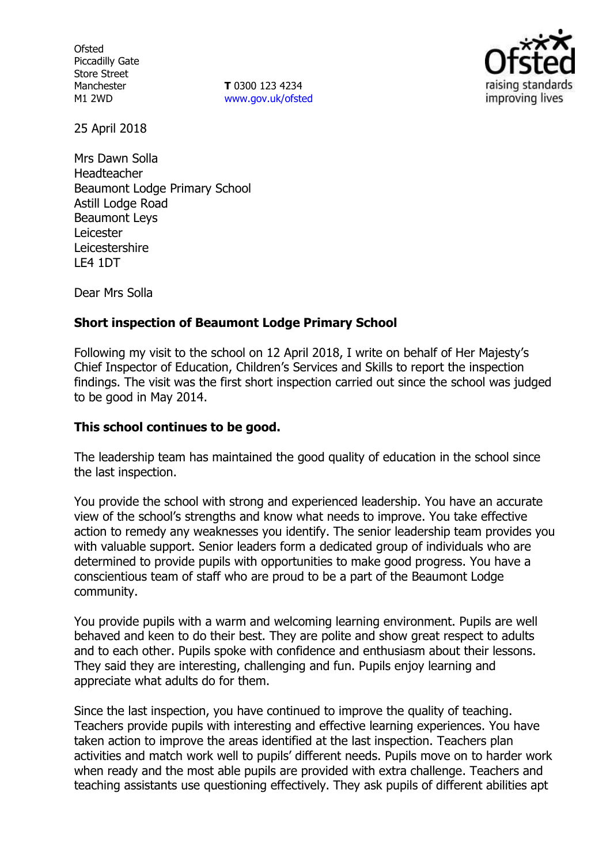**Ofsted** Piccadilly Gate Store Street Manchester M1 2WD

**T** 0300 123 4234 www.gov.uk/ofsted



25 April 2018

Mrs Dawn Solla Headteacher Beaumont Lodge Primary School Astill Lodge Road Beaumont Leys Leicester Leicestershire LE4 1DT

Dear Mrs Solla

## **Short inspection of Beaumont Lodge Primary School**

Following my visit to the school on 12 April 2018, I write on behalf of Her Majesty's Chief Inspector of Education, Children's Services and Skills to report the inspection findings. The visit was the first short inspection carried out since the school was judged to be good in May 2014.

### **This school continues to be good.**

The leadership team has maintained the good quality of education in the school since the last inspection.

You provide the school with strong and experienced leadership. You have an accurate view of the school's strengths and know what needs to improve. You take effective action to remedy any weaknesses you identify. The senior leadership team provides you with valuable support. Senior leaders form a dedicated group of individuals who are determined to provide pupils with opportunities to make good progress. You have a conscientious team of staff who are proud to be a part of the Beaumont Lodge community.

You provide pupils with a warm and welcoming learning environment. Pupils are well behaved and keen to do their best. They are polite and show great respect to adults and to each other. Pupils spoke with confidence and enthusiasm about their lessons. They said they are interesting, challenging and fun. Pupils enjoy learning and appreciate what adults do for them.

Since the last inspection, you have continued to improve the quality of teaching. Teachers provide pupils with interesting and effective learning experiences. You have taken action to improve the areas identified at the last inspection. Teachers plan activities and match work well to pupils' different needs. Pupils move on to harder work when ready and the most able pupils are provided with extra challenge. Teachers and teaching assistants use questioning effectively. They ask pupils of different abilities apt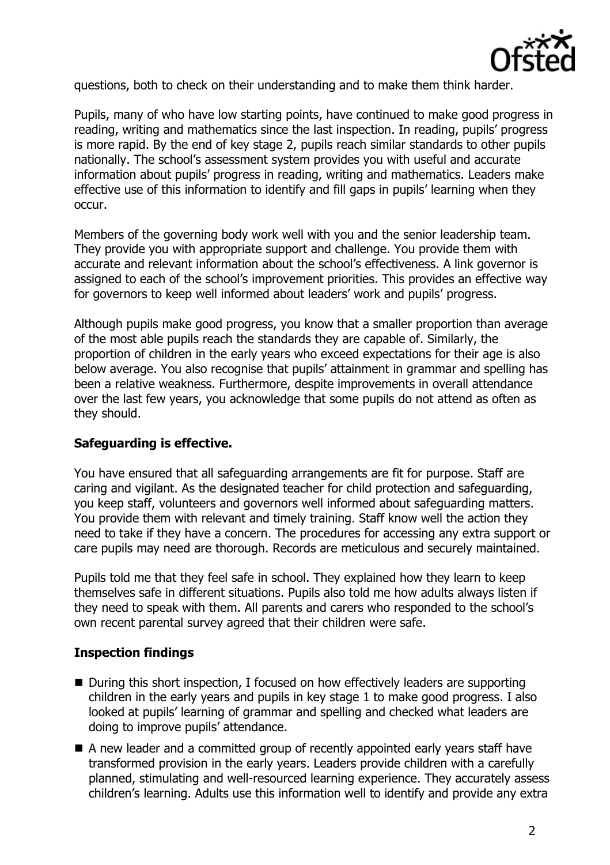

questions, both to check on their understanding and to make them think harder.

Pupils, many of who have low starting points, have continued to make good progress in reading, writing and mathematics since the last inspection. In reading, pupils' progress is more rapid. By the end of key stage 2, pupils reach similar standards to other pupils nationally. The school's assessment system provides you with useful and accurate information about pupils' progress in reading, writing and mathematics. Leaders make effective use of this information to identify and fill gaps in pupils' learning when they occur.

Members of the governing body work well with you and the senior leadership team. They provide you with appropriate support and challenge. You provide them with accurate and relevant information about the school's effectiveness. A link governor is assigned to each of the school's improvement priorities. This provides an effective way for governors to keep well informed about leaders' work and pupils' progress.

Although pupils make good progress, you know that a smaller proportion than average of the most able pupils reach the standards they are capable of. Similarly, the proportion of children in the early years who exceed expectations for their age is also below average. You also recognise that pupils' attainment in grammar and spelling has been a relative weakness. Furthermore, despite improvements in overall attendance over the last few years, you acknowledge that some pupils do not attend as often as they should.

#### **Safeguarding is effective.**

You have ensured that all safeguarding arrangements are fit for purpose. Staff are caring and vigilant. As the designated teacher for child protection and safeguarding, you keep staff, volunteers and governors well informed about safeguarding matters. You provide them with relevant and timely training. Staff know well the action they need to take if they have a concern. The procedures for accessing any extra support or care pupils may need are thorough. Records are meticulous and securely maintained.

Pupils told me that they feel safe in school. They explained how they learn to keep themselves safe in different situations. Pupils also told me how adults always listen if they need to speak with them. All parents and carers who responded to the school's own recent parental survey agreed that their children were safe.

#### **Inspection findings**

- During this short inspection, I focused on how effectively leaders are supporting children in the early years and pupils in key stage 1 to make good progress. I also looked at pupils' learning of grammar and spelling and checked what leaders are doing to improve pupils' attendance.
- A new leader and a committed group of recently appointed early years staff have transformed provision in the early years. Leaders provide children with a carefully planned, stimulating and well-resourced learning experience. They accurately assess children's learning. Adults use this information well to identify and provide any extra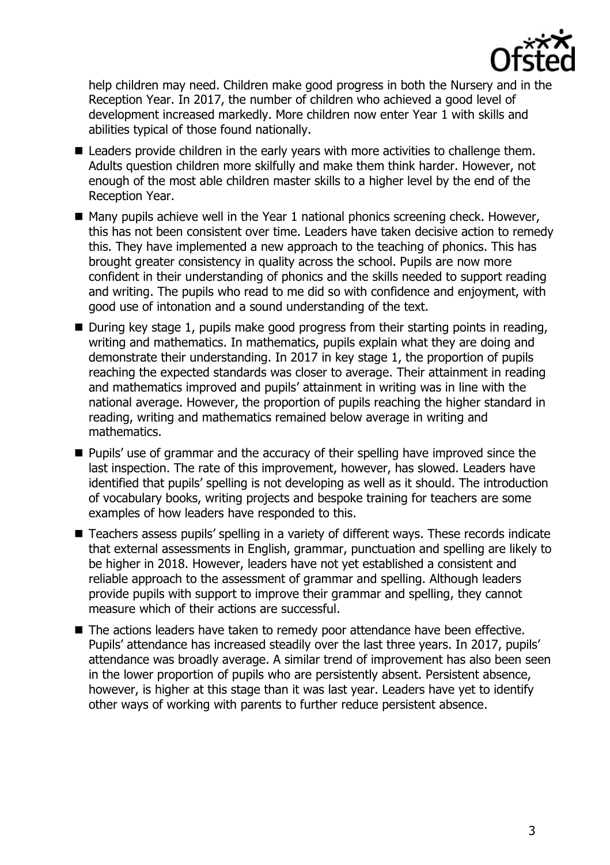

help children may need. Children make good progress in both the Nursery and in the Reception Year. In 2017, the number of children who achieved a good level of development increased markedly. More children now enter Year 1 with skills and abilities typical of those found nationally.

- Leaders provide children in the early years with more activities to challenge them. Adults question children more skilfully and make them think harder. However, not enough of the most able children master skills to a higher level by the end of the Reception Year.
- $\blacksquare$  Many pupils achieve well in the Year 1 national phonics screening check. However, this has not been consistent over time. Leaders have taken decisive action to remedy this. They have implemented a new approach to the teaching of phonics. This has brought greater consistency in quality across the school. Pupils are now more confident in their understanding of phonics and the skills needed to support reading and writing. The pupils who read to me did so with confidence and enjoyment, with good use of intonation and a sound understanding of the text.
- $\blacksquare$  During key stage 1, pupils make good progress from their starting points in reading, writing and mathematics. In mathematics, pupils explain what they are doing and demonstrate their understanding. In 2017 in key stage 1, the proportion of pupils reaching the expected standards was closer to average. Their attainment in reading and mathematics improved and pupils' attainment in writing was in line with the national average. However, the proportion of pupils reaching the higher standard in reading, writing and mathematics remained below average in writing and mathematics.
- **Pupils' use of grammar and the accuracy of their spelling have improved since the** last inspection. The rate of this improvement, however, has slowed. Leaders have identified that pupils' spelling is not developing as well as it should. The introduction of vocabulary books, writing projects and bespoke training for teachers are some examples of how leaders have responded to this.
- Teachers assess pupils' spelling in a variety of different ways. These records indicate that external assessments in English, grammar, punctuation and spelling are likely to be higher in 2018. However, leaders have not yet established a consistent and reliable approach to the assessment of grammar and spelling. Although leaders provide pupils with support to improve their grammar and spelling, they cannot measure which of their actions are successful.
- The actions leaders have taken to remedy poor attendance have been effective. Pupils' attendance has increased steadily over the last three years. In 2017, pupils' attendance was broadly average. A similar trend of improvement has also been seen in the lower proportion of pupils who are persistently absent. Persistent absence, however, is higher at this stage than it was last year. Leaders have yet to identify other ways of working with parents to further reduce persistent absence.